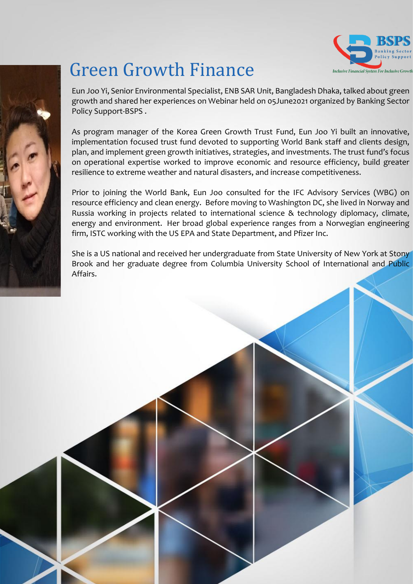

## Green Growth Finance

Eun Joo Yi, Senior Environmental Specialist, ENB SAR Unit, Bangladesh Dhaka, talked about green growth and shared her experiences on Webinar held on 05June2021 organized by Banking Sector Policy Support-BSPS .

As program manager of the Korea Green Growth Trust Fund, Eun Joo Yi built an innovative, implementation focused trust fund devoted to supporting World Bank staff and clients design, plan, and implement green growth initiatives, strategies, and investments. The trust fund's focus on operational expertise worked to improve economic and resource efficiency, build greater resilience to extreme weather and natural disasters, and increase competitiveness.

Prior to joining the World Bank, Eun Joo consulted for the IFC Advisory Services (WBG) on resource efficiency and clean energy. Before moving to Washington DC, she lived in Norway and Russia working in projects related to international science & technology diplomacy, climate, energy and environment. Her broad global experience ranges from a Norwegian engineering firm, ISTC working with the US EPA and State Department, and Pfizer Inc.

She is a US national and received her undergraduate from State University of New York at Stony Brook and her graduate degree from Columbia University School of International and Public Affairs.



Courtesy:Powered Template